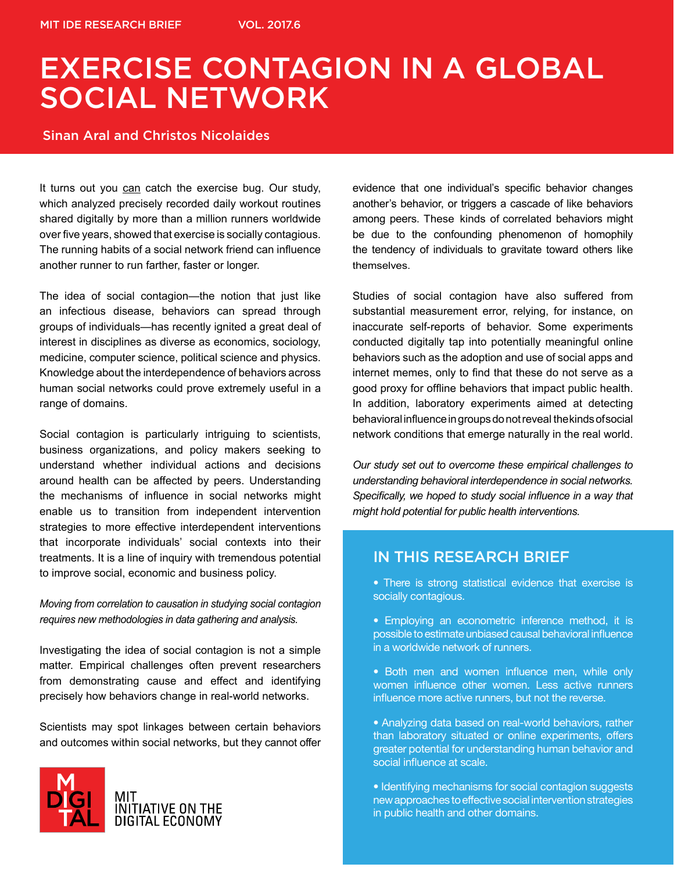### Sinan Aral and Christos Nicolaides

It turns out you can catch the exercise bug. Our study, which analyzed precisely recorded daily workout routines shared digitally by more than a million runners worldwide over five years, showed that exercise is socially contagious. The running habits of a social network friend can influence another runner to run farther, faster or longer.

The idea of social contagion—the notion that just like an infectious disease, behaviors can spread through groups of individuals—has recently ignited a great deal of interest in disciplines as diverse as economics, sociology, medicine, computer science, political science and physics. Knowledge about the interdependence of behaviors across human social networks could prove extremely useful in a range of domains.

Social contagion is particularly intriguing to scientists, business organizations, and policy makers seeking to understand whether individual actions and decisions around health can be affected by peers. Understanding the mechanisms of influence in social networks might enable us to transition from independent intervention strategies to more effective interdependent interventions that incorporate individuals' social contexts into their treatments. It is a line of inquiry with tremendous potential to improve social, economic and business policy.

*Moving from correlation to causation in studying social contagion requires new methodologies in data gathering and analysis.*

Investigating the idea of social contagion is not a simple matter. Empirical challenges often prevent researchers from demonstrating cause and effect and identifying precisely how behaviors change in real-world networks.

Scientists may spot linkages between certain behaviors and outcomes within social networks, but they cannot offer



evidence that one individual's specific behavior changes another's behavior, or triggers a cascade of like behaviors among peers. These kinds of correlated behaviors might be due to the confounding phenomenon of homophily the tendency of individuals to gravitate toward others like themselves.

Studies of social contagion have also suffered from substantial measurement error, relying, for instance, on inaccurate self-reports of behavior. Some experiments conducted digitally tap into potentially meaningful online behaviors such as the adoption and use of social apps and internet memes, only to find that these do not serve as a good proxy for offline behaviors that impact public health. In addition, laboratory experiments aimed at detecting behavioral influence in groups do not reveal the kinds of social network conditions that emerge naturally in the real world.

*Our study set out to overcome these empirical challenges to understanding behavioral interdependence in social networks. Specifically, we hoped to study social influence in a way that might hold potential for public health interventions.* 

### IN THIS RESEARCH BRIEF

• There is strong statistical evidence that exercise is socially contagious.

- Employing an econometric inference method, it is possible to estimate unbiased causal behavioral influence in a worldwide network of runners.
- Both men and women influence men, while only women influence other women. Less active runners influence more active runners, but not the reverse.
- Analyzing data based on real-world behaviors, rather than laboratory situated or online experiments, offers greater potential for understanding human behavior and social influence at scale.

• Identifying mechanisms for social contagion suggests new approaches to effective social intervention strategies in public health and other domains.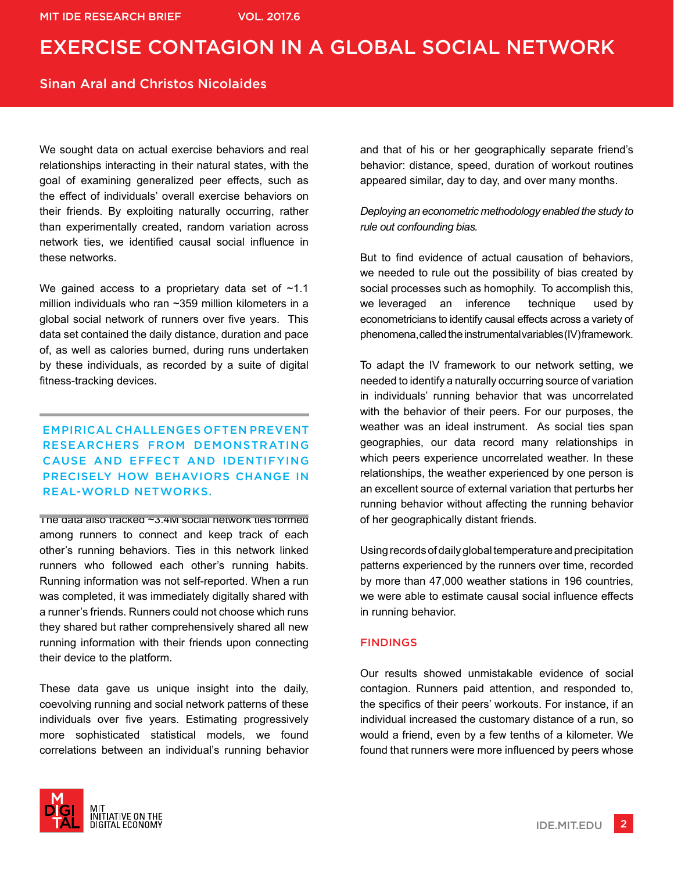### Sinan Aral and Christos Nicolaides

We sought data on actual exercise behaviors and real relationships interacting in their natural states, with the goal of examining generalized peer effects, such as the effect of individuals' overall exercise behaviors on their friends. By exploiting naturally occurring, rather than experimentally created, random variation across network ties, we identified causal social influence in these networks.

We gained access to a proprietary data set of  $~1.1$ million individuals who ran ~359 million kilometers in a global social network of runners over five years. This data set contained the daily distance, duration and pace of, as well as calories burned, during runs undertaken by these individuals, as recorded by a suite of digital fitness-tracking devices.

### EMPIRICAL CHALLENGES OFTEN PREVENT RESEARCHERS FROM DEMONSTRATING CAUSE AND EFFECT AND IDENTIFYING PRECISELY HOW BEHAVIORS CHANGE IN REAL-WORLD NETWORKS.

The data also tracked  $\sim$ 3.4M social network ties formed among runners to connect and keep track of each other's running behaviors. Ties in this network linked runners who followed each other's running habits. Running information was not self-reported. When a run was completed, it was immediately digitally shared with a runner's friends. Runners could not choose which runs they shared but rather comprehensively shared all new running information with their friends upon connecting their device to the platform.

These data gave us unique insight into the daily, coevolving running and social network patterns of these individuals over five years. Estimating progressively more sophisticated statistical models, we found correlations between an individual's running behavior



### *Deploying an econometric methodology enabled the study to rule out confounding bias.*

But to find evidence of actual causation of behaviors, we needed to rule out the possibility of bias created by social processes such as homophily. To accomplish this, we leveraged an inference technique used by econometricians to identify causal effects across a variety of phenomena, called the instrumental variables (IV) framework.

To adapt the IV framework to our network setting, we needed to identify a naturally occurring source of variation in individuals' running behavior that was uncorrelated with the behavior of their peers. For our purposes, the weather was an ideal instrument. As social ties span geographies, our data record many relationships in which peers experience uncorrelated weather. In these relationships, the weather experienced by one person is an excellent source of external variation that perturbs her running behavior without affecting the running behavior of her geographically distant friends.

Using records of daily global temperature and precipitation patterns experienced by the runners over time, recorded by more than 47,000 weather stations in 196 countries, we were able to estimate causal social influence effects in running behavior.

#### FINDINGS

Our results showed unmistakable evidence of social contagion. Runners paid attention, and responded to, the specifics of their peers' workouts. For instance, if an individual increased the customary distance of a run, so would a friend, even by a few tenths of a kilometer. We found that runners were more influenced by peers whose

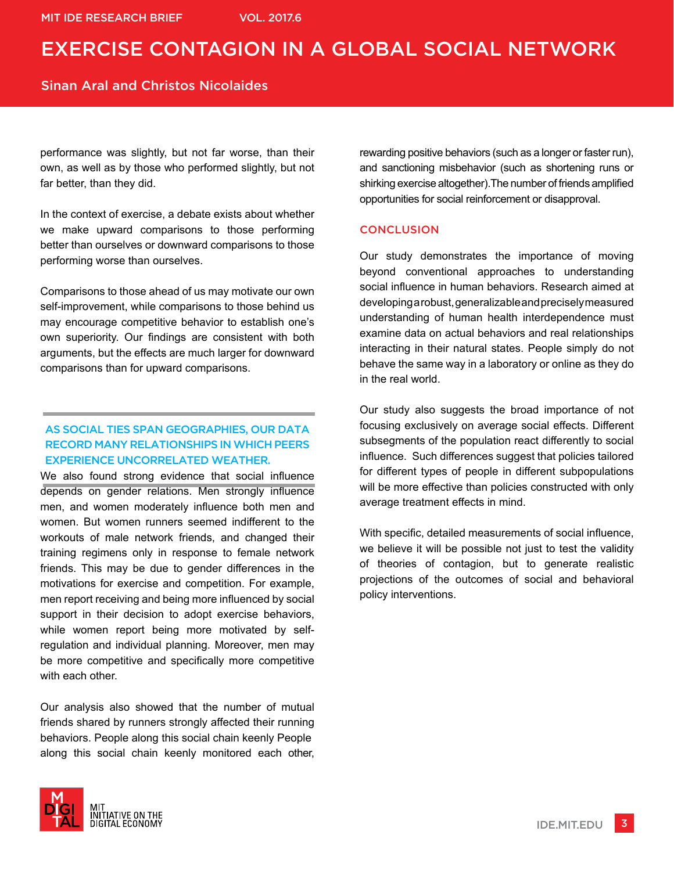### Sinan Aral and Christos Nicolaides

performance was slightly, but not far worse, than their own, as well as by those who performed slightly, but not far better, than they did.

In the context of exercise, a debate exists about whether we make upward comparisons to those performing better than ourselves or downward comparisons to those performing worse than ourselves.

Comparisons to those ahead of us may motivate our own self-improvement, while comparisons to those behind us may encourage competitive behavior to establish one's own superiority. Our findings are consistent with both arguments, but the effects are much larger for downward comparisons than for upward comparisons.

### AS SOCIAL TIES SPAN GEOGRAPHIES, OUR DATA RECORD MANY RELATIONSHIPS IN WHICH PEERS EXPERIENCE UNCORRELATED WEATHER.

We also found strong evidence that social influence depends on gender relations. Men strongly influence men, and women moderately influence both men and women. But women runners seemed indifferent to the workouts of male network friends, and changed their training regimens only in response to female network friends. This may be due to gender differences in the motivations for exercise and competition. For example, men report receiving and being more influenced by social support in their decision to adopt exercise behaviors, while women report being more motivated by selfregulation and individual planning. Moreover, men may be more competitive and specifically more competitive with each other.

Our analysis also showed that the number of mutual friends shared by runners strongly affected their running behaviors. People along this social chain keenly People along this social chain keenly monitored each other,



rewarding positive behaviors (such as a longer or faster run), and sanctioning misbehavior (such as shortening runs or shirking exercise altogether).The number of friends amplified opportunities for social reinforcement or disapproval.

#### **CONCLUSION**

Our study demonstrates the importance of moving beyond conventional approaches to understanding social influence in human behaviors. Research aimed at developing a robust, generalizable and precisely measured understanding of human health interdependence must examine data on actual behaviors and real relationships interacting in their natural states. People simply do not behave the same way in a laboratory or online as they do in the real world.

Our study also suggests the broad importance of not focusing exclusively on average social effects. Different subsegments of the population react differently to social influence. Such differences suggest that policies tailored for different types of people in different subpopulations will be more effective than policies constructed with only average treatment effects in mind.

With specific, detailed measurements of social influence, we believe it will be possible not just to test the validity of theories of contagion, but to generate realistic projections of the outcomes of social and behavioral policy interventions.